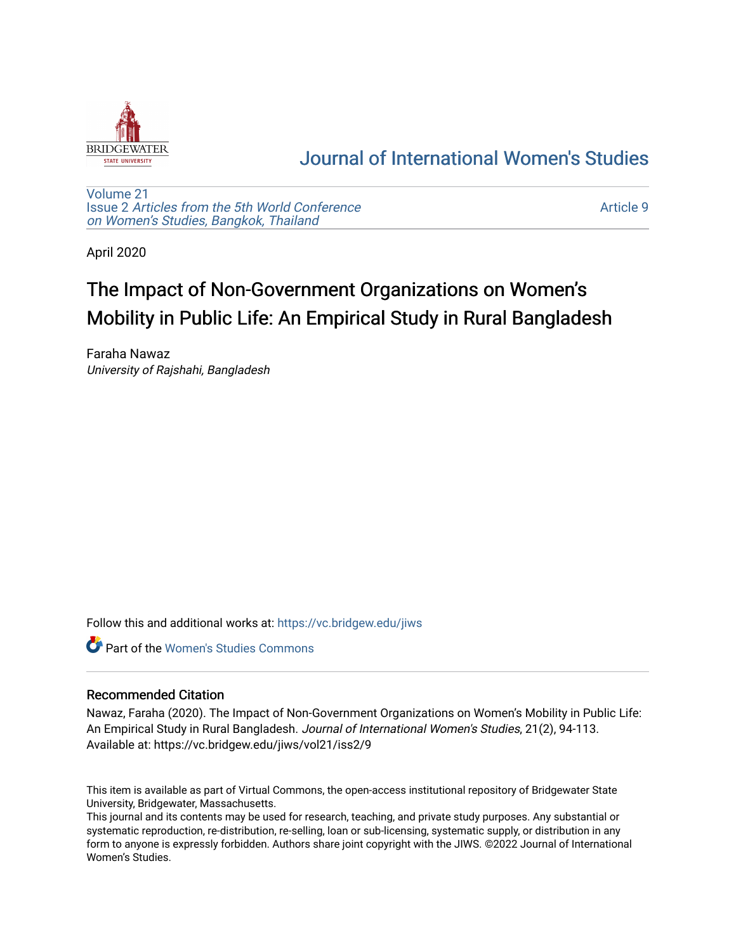

## [Journal of International Women's Studies](https://vc.bridgew.edu/jiws)

[Volume 21](https://vc.bridgew.edu/jiws/vol21) Issue 2 [Articles from the 5th World Conference](https://vc.bridgew.edu/jiws/vol21/iss2) [on Women's Studies, Bangkok, Thailand](https://vc.bridgew.edu/jiws/vol21/iss2) 

[Article 9](https://vc.bridgew.edu/jiws/vol21/iss2/9) 

April 2020

# The Impact of Non-Government Organizations on Women's Mobility in Public Life: An Empirical Study in Rural Bangladesh

Faraha Nawaz University of Rajshahi, Bangladesh

Follow this and additional works at: [https://vc.bridgew.edu/jiws](https://vc.bridgew.edu/jiws?utm_source=vc.bridgew.edu%2Fjiws%2Fvol21%2Fiss2%2F9&utm_medium=PDF&utm_campaign=PDFCoverPages)

**C** Part of the Women's Studies Commons

#### Recommended Citation

Nawaz, Faraha (2020). The Impact of Non-Government Organizations on Women's Mobility in Public Life: An Empirical Study in Rural Bangladesh. Journal of International Women's Studies, 21(2), 94-113. Available at: https://vc.bridgew.edu/jiws/vol21/iss2/9

This item is available as part of Virtual Commons, the open-access institutional repository of Bridgewater State University, Bridgewater, Massachusetts.

This journal and its contents may be used for research, teaching, and private study purposes. Any substantial or systematic reproduction, re-distribution, re-selling, loan or sub-licensing, systematic supply, or distribution in any form to anyone is expressly forbidden. Authors share joint copyright with the JIWS. ©2022 Journal of International Women's Studies.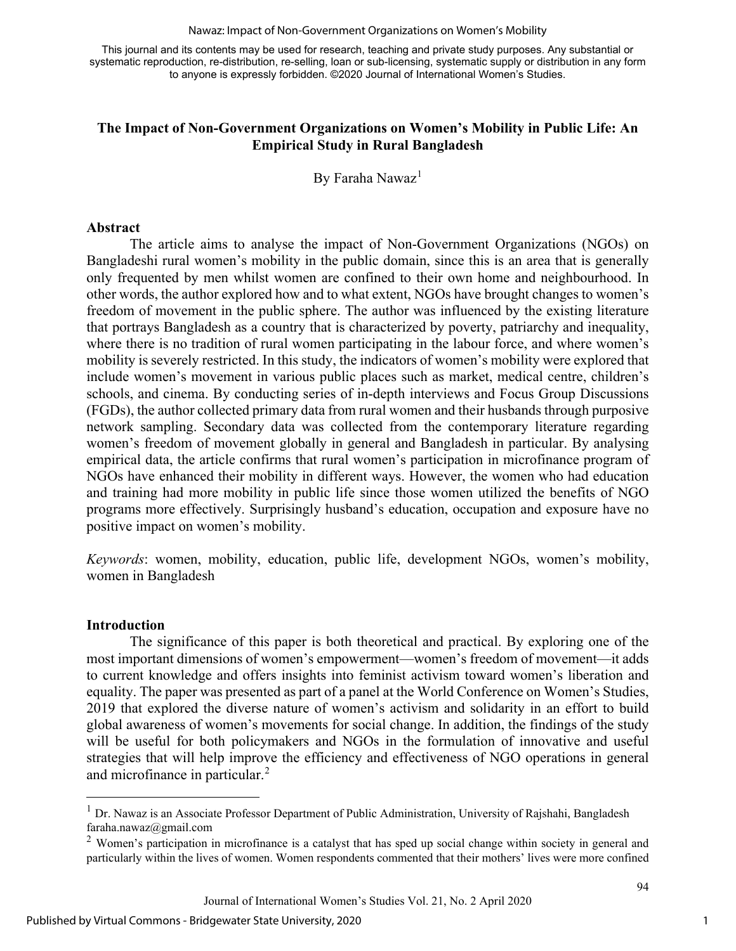#### Nawaz: Impact of Non-Government Organizations on Women's Mobility

This journal and its contents may be used for research, teaching and private study purposes. Any substantial or systematic reproduction, re-distribution, re-selling, loan or sub-licensing, systematic supply or distribution in any form to anyone is expressly forbidden. ©2020 Journal of International Women's Studies.

#### **The Impact of Non-Government Organizations on Women's Mobility in Public Life: An Empirical Study in Rural Bangladesh**

By Faraha Nawaz<sup>[1](#page-1-0)</sup>

#### **Abstract**

The article aims to analyse the impact of Non-Government Organizations (NGOs) on Bangladeshi rural women's mobility in the public domain, since this is an area that is generally only frequented by men whilst women are confined to their own home and neighbourhood. In other words, the author explored how and to what extent, NGOs have brought changes to women's freedom of movement in the public sphere. The author was influenced by the existing literature that portrays Bangladesh as a country that is characterized by poverty, patriarchy and inequality, where there is no tradition of rural women participating in the labour force, and where women's mobility is severely restricted. In this study, the indicators of women's mobility were explored that include women's movement in various public places such as market, medical centre, children's schools, and cinema. By conducting series of in-depth interviews and Focus Group Discussions (FGDs), the author collected primary data from rural women and their husbands through purposive network sampling. Secondary data was collected from the contemporary literature regarding women's freedom of movement globally in general and Bangladesh in particular. By analysing empirical data, the article confirms that rural women's participation in microfinance program of NGOs have enhanced their mobility in different ways. However, the women who had education and training had more mobility in public life since those women utilized the benefits of NGO programs more effectively. Surprisingly husband's education, occupation and exposure have no positive impact on women's mobility.

*Keywords*: women, mobility, education, public life, development NGOs, women's mobility, women in Bangladesh

#### **Introduction**

The significance of this paper is both theoretical and practical. By exploring one of the most important dimensions of women's empowerment—women's freedom of movement—it adds to current knowledge and offers insights into feminist activism toward women's liberation and equality. The paper was presented as part of a panel at the World Conference on Women's Studies, 2019 that explored the diverse nature of women's activism and solidarity in an effort to build global awareness of women's movements for social change. In addition, the findings of the study will be useful for both policymakers and NGOs in the formulation of innovative and useful strategies that will help improve the efficiency and effectiveness of NGO operations in general and microfinance in particular. [2](#page-1-1)

<span id="page-1-0"></span><sup>&</sup>lt;sup>1</sup> Dr. Nawaz is an Associate Professor Department of Public Administration, University of Rajshahi, Bangladesh faraha.nawaz@gmail.com

<span id="page-1-1"></span><sup>&</sup>lt;sup>2</sup> Women's participation in microfinance is a catalyst that has sped up social change within society in general and particularly within the lives of women. Women respondents commented that their mothers' lives were more confined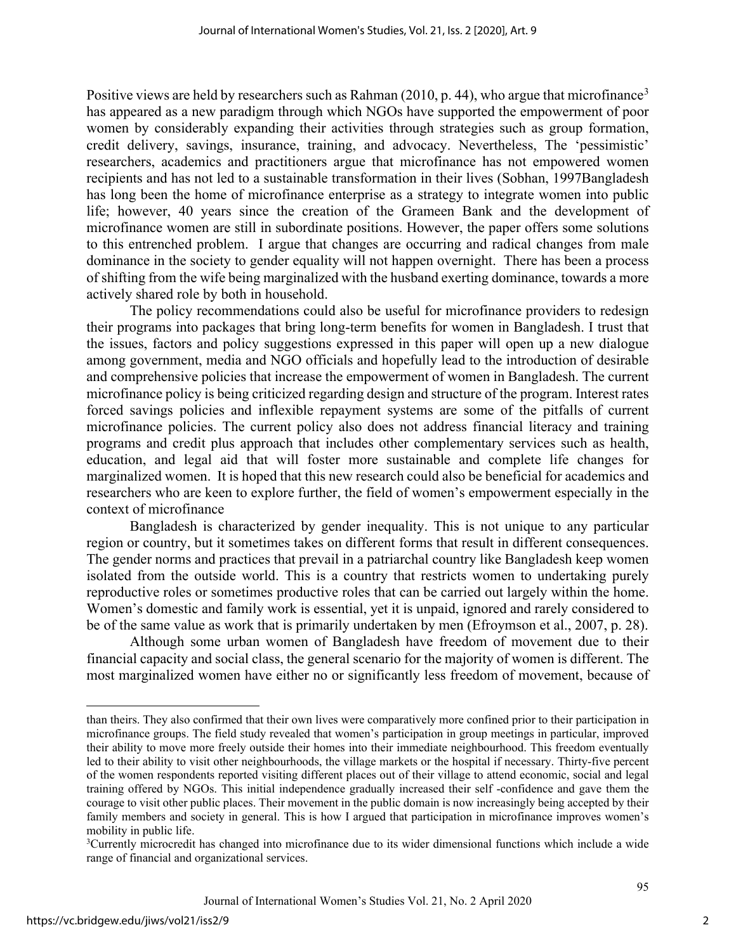Positive views are held by researchers such as Rahman  $(2010, p. 44)$ , who argue that microfinance<sup>[3](#page-2-0)</sup> has appeared as a new paradigm through which NGOs have supported the empowerment of poor women by considerably expanding their activities through strategies such as group formation, credit delivery, savings, insurance, training, and advocacy. Nevertheless, The 'pessimistic' researchers, academics and practitioners argue that microfinance has not empowered women recipients and has not led to a sustainable transformation in their lives (Sobhan, 1997Bangladesh has long been the home of microfinance enterprise as a strategy to integrate women into public life; however, 40 years since the creation of the Grameen Bank and the development of microfinance women are still in subordinate positions. However, the paper offers some solutions to this entrenched problem. I argue that changes are occurring and radical changes from male dominance in the society to gender equality will not happen overnight. There has been a process of shifting from the wife being marginalized with the husband exerting dominance, towards a more actively shared role by both in household.

The policy recommendations could also be useful for microfinance providers to redesign their programs into packages that bring long-term benefits for women in Bangladesh. I trust that the issues, factors and policy suggestions expressed in this paper will open up a new dialogue among government, media and NGO officials and hopefully lead to the introduction of desirable and comprehensive policies that increase the empowerment of women in Bangladesh. The current microfinance policy is being criticized regarding design and structure of the program. Interest rates forced savings policies and inflexible repayment systems are some of the pitfalls of current microfinance policies. The current policy also does not address financial literacy and training programs and credit plus approach that includes other complementary services such as health, education, and legal aid that will foster more sustainable and complete life changes for marginalized women. It is hoped that this new research could also be beneficial for academics and researchers who are keen to explore further, the field of women's empowerment especially in the context of microfinance

Bangladesh is characterized by gender inequality. This is not unique to any particular region or country, but it sometimes takes on different forms that result in different consequences. The gender norms and practices that prevail in a patriarchal country like Bangladesh keep women isolated from the outside world. This is a country that restricts women to undertaking purely reproductive roles or sometimes productive roles that can be carried out largely within the home. Women's domestic and family work is essential, yet it is unpaid, ignored and rarely considered to be of the same value as work that is primarily undertaken by men (Efroymson et al., 2007, p. 28).

Although some urban women of Bangladesh have freedom of movement due to their financial capacity and social class, the general scenario for the majority of women is different. The most marginalized women have either no or significantly less freedom of movement, because of

than theirs. They also confirmed that their own lives were comparatively more confined prior to their participation in microfinance groups. The field study revealed that women's participation in group meetings in particular, improved their ability to move more freely outside their homes into their immediate neighbourhood. This freedom eventually led to their ability to visit other neighbourhoods, the village markets or the hospital if necessary. Thirty-five percent of the women respondents reported visiting different places out of their village to attend economic, social and legal training offered by NGOs. This initial independence gradually increased their self -confidence and gave them the courage to visit other public places. Their movement in the public domain is now increasingly being accepted by their family members and society in general. This is how I argued that participation in microfinance improves women's mobility in public life.

<span id="page-2-0"></span><sup>&</sup>lt;sup>3</sup>Currently microcredit has changed into microfinance due to its wider dimensional functions which include a wide range of financial and organizational services.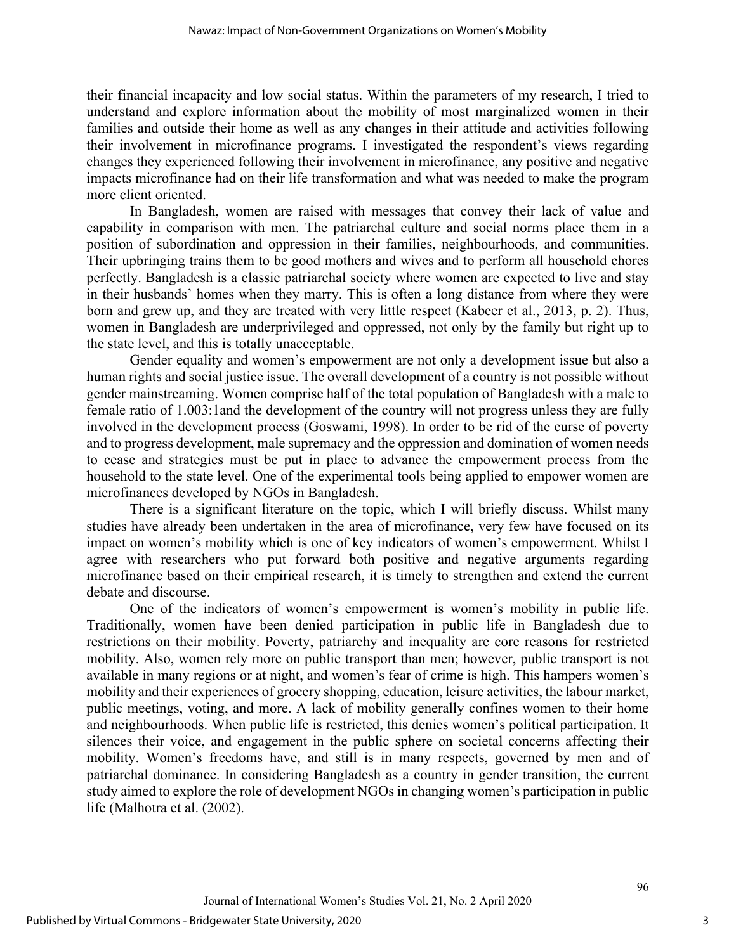their financial incapacity and low social status. Within the parameters of my research, I tried to understand and explore information about the mobility of most marginalized women in their families and outside their home as well as any changes in their attitude and activities following their involvement in microfinance programs. I investigated the respondent's views regarding changes they experienced following their involvement in microfinance, any positive and negative impacts microfinance had on their life transformation and what was needed to make the program more client oriented.

In Bangladesh, women are raised with messages that convey their lack of value and capability in comparison with men. The patriarchal culture and social norms place them in a position of subordination and oppression in their families, neighbourhoods, and communities. Their upbringing trains them to be good mothers and wives and to perform all household chores perfectly. Bangladesh is a classic patriarchal society where women are expected to live and stay in their husbands' homes when they marry. This is often a long distance from where they were born and grew up, and they are treated with very little respect (Kabeer et al., 2013, p. 2). Thus, women in Bangladesh are underprivileged and oppressed, not only by the family but right up to the state level, and this is totally unacceptable.

Gender equality and women's empowerment are not only a development issue but also a human rights and social justice issue. The overall development of a country is not possible without gender mainstreaming. Women comprise half of the total population of Bangladesh with a male to female ratio of 1.003:1and the development of the country will not progress unless they are fully involved in the development process (Goswami, 1998). In order to be rid of the curse of poverty and to progress development, male supremacy and the oppression and domination of women needs to cease and strategies must be put in place to advance the empowerment process from the household to the state level. One of the experimental tools being applied to empower women are microfinances developed by NGOs in Bangladesh.

There is a significant literature on the topic, which I will briefly discuss. Whilst many studies have already been undertaken in the area of microfinance, very few have focused on its impact on women's mobility which is one of key indicators of women's empowerment. Whilst I agree with researchers who put forward both positive and negative arguments regarding microfinance based on their empirical research, it is timely to strengthen and extend the current debate and discourse.

One of the indicators of women's empowerment is women's mobility in public life. Traditionally, women have been denied participation in public life in Bangladesh due to restrictions on their mobility. Poverty, patriarchy and inequality are core reasons for restricted mobility. Also, women rely more on public transport than men; however, public transport is not available in many regions or at night, and women's fear of crime is high. This hampers women's mobility and their experiences of grocery shopping, education, leisure activities, the labour market, public meetings, voting, and more. A lack of mobility generally confines women to their home and neighbourhoods. When public life is restricted, this denies women's political participation. It silences their voice, and engagement in the public sphere on societal concerns affecting their mobility. Women's freedoms have, and still is in many respects, governed by men and of patriarchal dominance. In considering Bangladesh as a country in gender transition, the current study aimed to explore the role of development NGOs in changing women's participation in public life (Malhotra et al. (2002).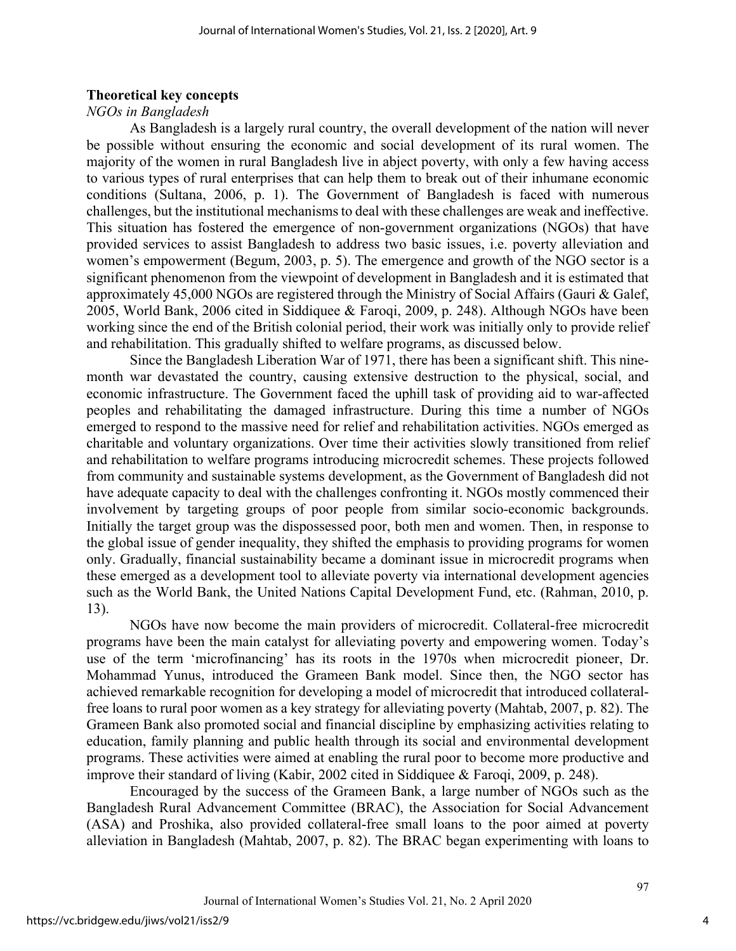#### **Theoretical key concepts**

#### *NGOs in Bangladesh*

As Bangladesh is a largely rural country, the overall development of the nation will never be possible without ensuring the economic and social development of its rural women. The majority of the women in rural Bangladesh live in abject poverty, with only a few having access to various types of rural enterprises that can help them to break out of their inhumane economic conditions (Sultana, 2006, p. 1). The Government of Bangladesh is faced with numerous challenges, but the institutional mechanisms to deal with these challenges are weak and ineffective. This situation has fostered the emergence of non-government organizations (NGOs) that have provided services to assist Bangladesh to address two basic issues, i.e. poverty alleviation and women's empowerment (Begum, 2003, p. 5). The emergence and growth of the NGO sector is a significant phenomenon from the viewpoint of development in Bangladesh and it is estimated that approximately 45,000 NGOs are registered through the Ministry of Social Affairs (Gauri & Galef, 2005, World Bank, 2006 cited in Siddiquee & Faroqi, 2009, p. 248). Although NGOs have been working since the end of the British colonial period, their work was initially only to provide relief and rehabilitation. This gradually shifted to welfare programs, as discussed below.

Since the Bangladesh Liberation War of 1971, there has been a significant shift. This ninemonth war devastated the country, causing extensive destruction to the physical, social, and economic infrastructure. The Government faced the uphill task of providing aid to war-affected peoples and rehabilitating the damaged infrastructure. During this time a number of NGOs emerged to respond to the massive need for relief and rehabilitation activities. NGOs emerged as charitable and voluntary organizations. Over time their activities slowly transitioned from relief and rehabilitation to welfare programs introducing microcredit schemes. These projects followed from community and sustainable systems development, as the Government of Bangladesh did not have adequate capacity to deal with the challenges confronting it. NGOs mostly commenced their involvement by targeting groups of poor people from similar socio-economic backgrounds. Initially the target group was the dispossessed poor, both men and women. Then, in response to the global issue of gender inequality, they shifted the emphasis to providing programs for women only. Gradually, financial sustainability became a dominant issue in microcredit programs when these emerged as a development tool to alleviate poverty via international development agencies such as the World Bank, the United Nations Capital Development Fund, etc. (Rahman, 2010, p. 13).

NGOs have now become the main providers of microcredit. Collateral-free microcredit programs have been the main catalyst for alleviating poverty and empowering women. Today's use of the term 'microfinancing' has its roots in the 1970s when microcredit pioneer, Dr. Mohammad Yunus, introduced the Grameen Bank model. Since then, the NGO sector has achieved remarkable recognition for developing a model of microcredit that introduced collateralfree loans to rural poor women as a key strategy for alleviating poverty (Mahtab, 2007, p. 82). The Grameen Bank also promoted social and financial discipline by emphasizing activities relating to education, family planning and public health through its social and environmental development programs. These activities were aimed at enabling the rural poor to become more productive and improve their standard of living (Kabir, 2002 cited in Siddiquee & Faroqi, 2009, p. 248).

Encouraged by the success of the Grameen Bank, a large number of NGOs such as the Bangladesh Rural Advancement Committee (BRAC), the Association for Social Advancement (ASA) and Proshika, also provided collateral-free small loans to the poor aimed at poverty alleviation in Bangladesh (Mahtab, 2007, p. 82). The BRAC began experimenting with loans to

4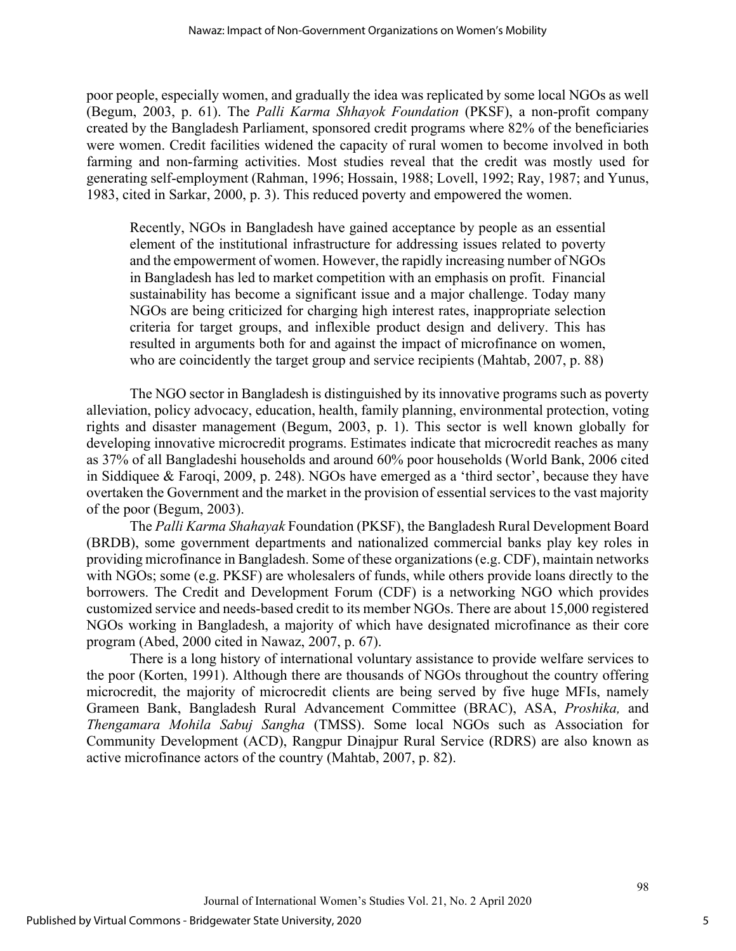poor people, especially women, and gradually the idea was replicated by some local NGOs as well (Begum, 2003, p. 61). The *Palli Karma Shhayok Foundation* (PKSF), a non-profit company created by the Bangladesh Parliament, sponsored credit programs where 82% of the beneficiaries were women. Credit facilities widened the capacity of rural women to become involved in both farming and non-farming activities. Most studies reveal that the credit was mostly used for generating self-employment (Rahman, 1996; Hossain, 1988; Lovell, 1992; Ray, 1987; and Yunus, 1983, cited in Sarkar, 2000, p. 3). This reduced poverty and empowered the women.

Recently, NGOs in Bangladesh have gained acceptance by people as an essential element of the institutional infrastructure for addressing issues related to poverty and the empowerment of women. However, the rapidly increasing number of NGOs in Bangladesh has led to market competition with an emphasis on profit. Financial sustainability has become a significant issue and a major challenge. Today many NGOs are being criticized for charging high interest rates, inappropriate selection criteria for target groups, and inflexible product design and delivery. This has resulted in arguments both for and against the impact of microfinance on women, who are coincidently the target group and service recipients (Mahtab, 2007, p. 88)

The NGO sector in Bangladesh is distinguished by its innovative programs such as poverty alleviation, policy advocacy, education, health, family planning, environmental protection, voting rights and disaster management (Begum, 2003, p. 1). This sector is well known globally for developing innovative microcredit programs. Estimates indicate that microcredit reaches as many as 37% of all Bangladeshi households and around 60% poor households (World Bank, 2006 cited in Siddiquee & Faroqi, 2009, p. 248). NGOs have emerged as a 'third sector', because they have overtaken the Government and the market in the provision of essential services to the vast majority of the poor (Begum, 2003).

The *Palli Karma Shahayak* Foundation (PKSF), the Bangladesh Rural Development Board (BRDB), some government departments and nationalized commercial banks play key roles in providing microfinance in Bangladesh. Some of these organizations (e.g. CDF), maintain networks with NGOs; some (e.g. PKSF) are wholesalers of funds, while others provide loans directly to the borrowers. The Credit and Development Forum (CDF) is a networking NGO which provides customized service and needs-based credit to its member NGOs. There are about 15,000 registered NGOs working in Bangladesh, a majority of which have designated microfinance as their core program (Abed, 2000 cited in Nawaz, 2007, p. 67).

There is a long history of international voluntary assistance to provide welfare services to the poor (Korten, 1991). Although there are thousands of NGOs throughout the country offering microcredit, the majority of microcredit clients are being served by five huge MFIs, namely Grameen Bank, Bangladesh Rural Advancement Committee (BRAC), ASA, *Proshika,* and *Thengamara Mohila Sabuj Sangha* (TMSS). Some local NGOs such as Association for Community Development (ACD), Rangpur Dinajpur Rural Service (RDRS) are also known as active microfinance actors of the country (Mahtab, 2007, p. 82).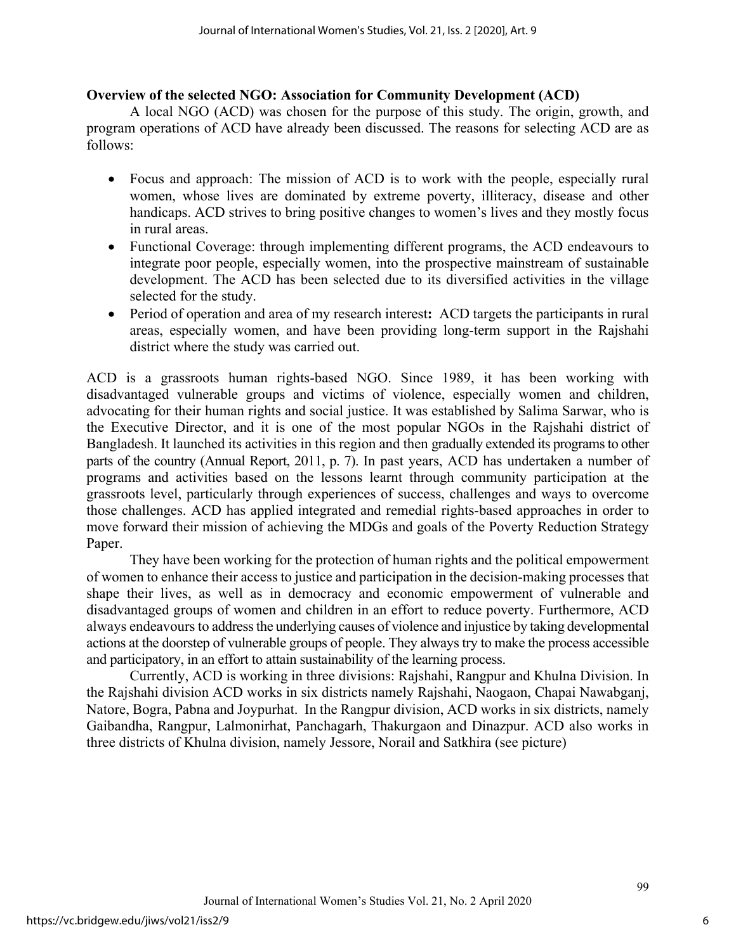#### **Overview of the selected NGO: Association for Community Development (ACD)**

A local NGO (ACD) was chosen for the purpose of this study. The origin, growth, and program operations of ACD have already been discussed. The reasons for selecting ACD are as follows:

- Focus and approach: The mission of ACD is to work with the people, especially rural women, whose lives are dominated by extreme poverty, illiteracy, disease and other handicaps. ACD strives to bring positive changes to women's lives and they mostly focus in rural areas.
- Functional Coverage: through implementing different programs, the ACD endeavours to integrate poor people, especially women, into the prospective mainstream of sustainable development. The ACD has been selected due to its diversified activities in the village selected for the study.
- Period of operation and area of my research interest**:** ACD targets the participants in rural areas, especially women, and have been providing long-term support in the Rajshahi district where the study was carried out.

ACD is a grassroots human rights-based NGO. Since 1989, it has been working with disadvantaged vulnerable groups and victims of violence, especially women and children, advocating for their human rights and social justice. It was established by Salima Sarwar, who is the Executive Director, and it is one of the most popular NGOs in the Rajshahi district of Bangladesh. It launched its activities in this region and then gradually extended its programs to other parts of the country (Annual Report, 2011, p. 7). In past years, ACD has undertaken a number of programs and activities based on the lessons learnt through community participation at the grassroots level, particularly through experiences of success, challenges and ways to overcome those challenges. ACD has applied integrated and remedial rights-based approaches in order to move forward their mission of achieving the MDGs and goals of the Poverty Reduction Strategy Paper.

They have been working for the protection of human rights and the political empowerment of women to enhance their access to justice and participation in the decision-making processes that shape their lives, as well as in democracy and economic empowerment of vulnerable and disadvantaged groups of women and children in an effort to reduce poverty. Furthermore, ACD always endeavours to address the underlying causes of violence and injustice by taking developmental actions at the doorstep of vulnerable groups of people. They always try to make the process accessible and participatory, in an effort to attain sustainability of the learning process.

Currently, ACD is working in three divisions: Rajshahi, Rangpur and Khulna Division. In the Rajshahi division ACD works in six districts namely Rajshahi, Naogaon, Chapai Nawabganj, Natore, Bogra, Pabna and Joypurhat. In the Rangpur division, ACD works in six districts, namely Gaibandha, Rangpur, Lalmonirhat, Panchagarh, Thakurgaon and Dinazpur. ACD also works in three districts of Khulna division, namely Jessore, Norail and Satkhira (see picture)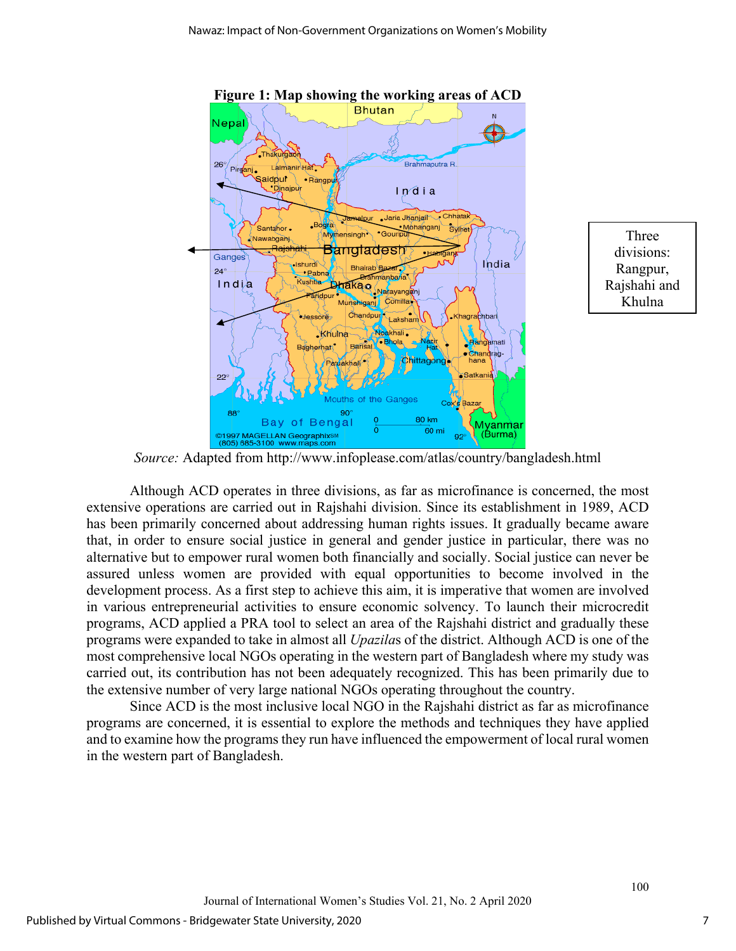

Three divisions: Rangpur, Rajshahi and Khulna

*Source:* Adapted from<http://www.infoplease.com/atlas/country/bangladesh.html>

Although ACD operates in three divisions, as far as microfinance is concerned, the most extensive operations are carried out in Rajshahi division. Since its establishment in 1989, ACD has been primarily concerned about addressing human rights issues. It gradually became aware that, in order to ensure social justice in general and gender justice in particular, there was no alternative but to empower rural women both financially and socially. Social justice can never be assured unless women are provided with equal opportunities to become involved in the development process. As a first step to achieve this aim, it is imperative that women are involved in various entrepreneurial activities to ensure economic solvency. To launch their microcredit programs, ACD applied a PRA tool to select an area of the Rajshahi district and gradually these programs were expanded to take in almost all *Upazila*s of the district. Although ACD is one of the most comprehensive local NGOs operating in the western part of Bangladesh where my study was carried out, its contribution has not been adequately recognized. This has been primarily due to the extensive number of very large national NGOs operating throughout the country.

Since ACD is the most inclusive local NGO in the Rajshahi district as far as microfinance programs are concerned, it is essential to explore the methods and techniques they have applied and to examine how the programs they run have influenced the empowerment of local rural women in the western part of Bangladesh.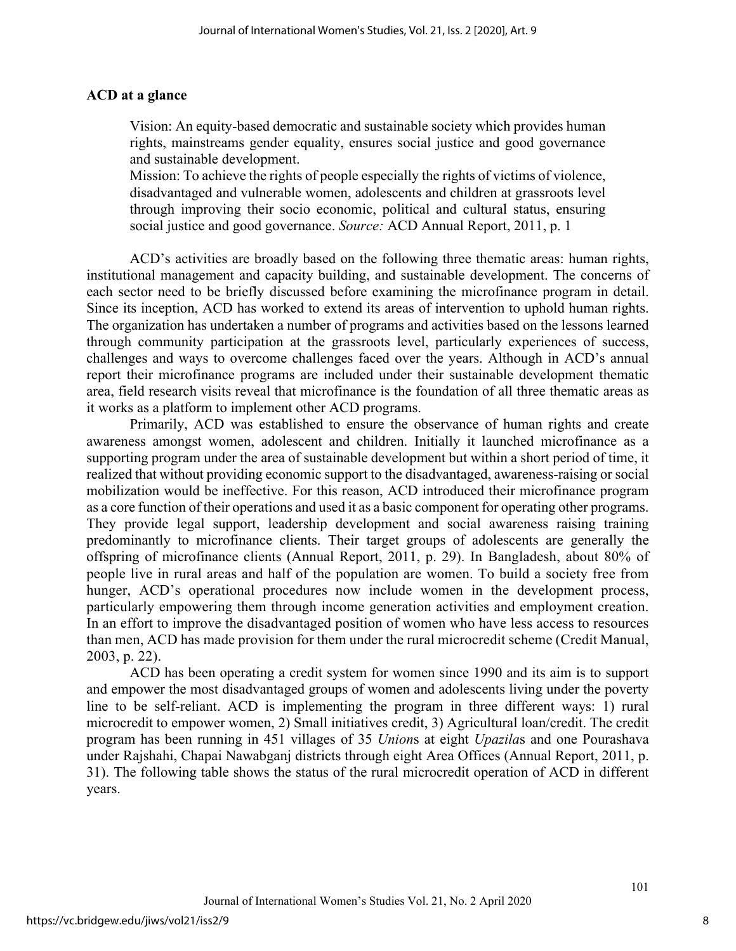#### **ACD at a glance**

Vision: An equity-based democratic and sustainable society which provides human rights, mainstreams gender equality, ensures social justice and good governance and sustainable development.

Mission: To achieve the rights of people especially the rights of victims of violence, disadvantaged and vulnerable women, adolescents and children at grassroots level through improving their socio economic, political and cultural status, ensuring social justice and good governance. *Source:* ACD Annual Report, 2011, p. 1

ACD's activities are broadly based on the following three thematic areas: human rights, institutional management and capacity building, and sustainable development. The concerns of each sector need to be briefly discussed before examining the microfinance program in detail. Since its inception, ACD has worked to extend its areas of intervention to uphold human rights. The organization has undertaken a number of programs and activities based on the lessons learned through community participation at the grassroots level, particularly experiences of success, challenges and ways to overcome challenges faced over the years. Although in ACD's annual report their microfinance programs are included under their sustainable development thematic area, field research visits reveal that microfinance is the foundation of all three thematic areas as it works as a platform to implement other ACD programs.

Primarily, ACD was established to ensure the observance of human rights and create awareness amongst women, adolescent and children. Initially it launched microfinance as a supporting program under the area of sustainable development but within a short period of time, it realized that without providing economic support to the disadvantaged, awareness-raising or social mobilization would be ineffective. For this reason, ACD introduced their microfinance program as a core function of their operations and used it as a basic component for operating other programs. They provide legal support, leadership development and social awareness raising training predominantly to microfinance clients. Their target groups of adolescents are generally the offspring of microfinance clients (Annual Report, 2011, p. 29). In Bangladesh, about 80% of people live in rural areas and half of the population are women. To build a society free from hunger, ACD's operational procedures now include women in the development process, particularly empowering them through income generation activities and employment creation. In an effort to improve the disadvantaged position of women who have less access to resources than men, ACD has made provision for them under the rural microcredit scheme (Credit Manual, 2003, p. 22).

ACD has been operating a credit system for women since 1990 and its aim is to support and empower the most disadvantaged groups of women and adolescents living under the poverty line to be self-reliant. ACD is implementing the program in three different ways: 1) rural microcredit to empower women, 2) Small initiatives credit, 3) Agricultural loan/credit. The credit program has been running in 451 villages of 35 *Union*s at eight *Upazila*s and one Pourashava under Rajshahi, Chapai Nawabganj districts through eight Area Offices (Annual Report, 2011, p. 31). The following table shows the status of the rural microcredit operation of ACD in different years.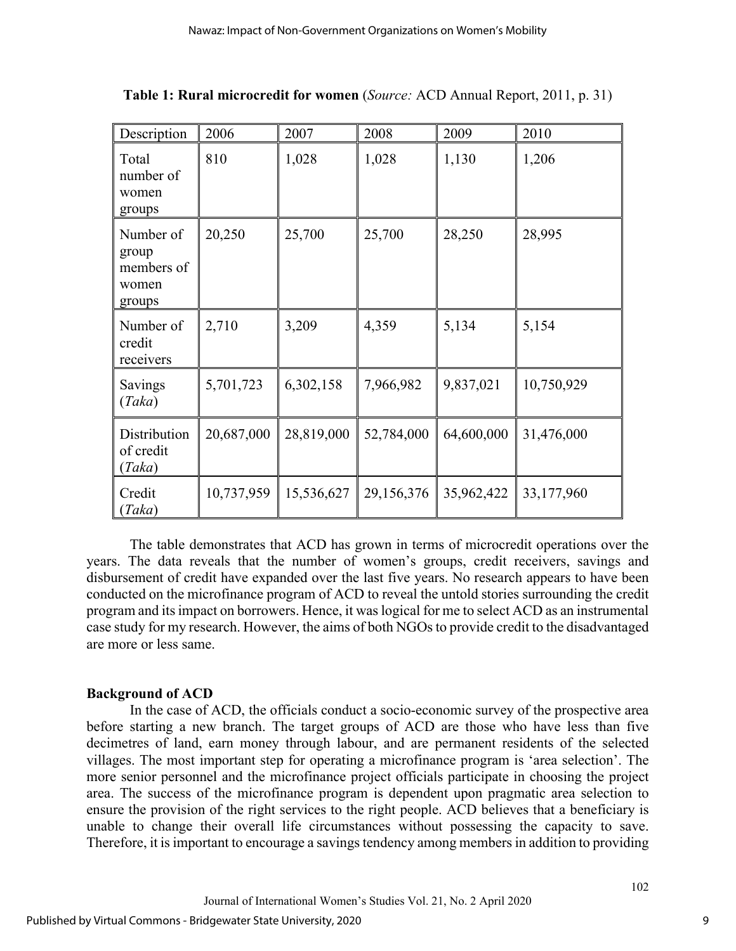| Description                                         | 2006       | 2007       | 2008       | 2009       | 2010       |
|-----------------------------------------------------|------------|------------|------------|------------|------------|
| Total<br>number of<br>women<br>groups               | 810        | 1,028      | 1,028      | 1,130      | 1,206      |
| Number of<br>group<br>members of<br>women<br>groups | 20,250     | 25,700     | 25,700     | 28,250     | 28,995     |
| Number of<br>credit<br>receivers                    | 2,710      | 3,209      | 4,359      | 5,134      | 5,154      |
| Savings<br>(Taka)                                   | 5,701,723  | 6,302,158  | 7,966,982  | 9,837,021  | 10,750,929 |
| Distribution<br>of credit<br>(Taka)                 | 20,687,000 | 28,819,000 | 52,784,000 | 64,600,000 | 31,476,000 |
| Credit<br>(Taka)                                    | 10,737,959 | 15,536,627 | 29,156,376 | 35,962,422 | 33,177,960 |

**Table 1: Rural microcredit for women** (*Source:* ACD Annual Report, 2011, p. 31)

The table demonstrates that ACD has grown in terms of microcredit operations over the years. The data reveals that the number of women's groups, credit receivers, savings and disbursement of credit have expanded over the last five years. No research appears to have been conducted on the microfinance program of ACD to reveal the untold stories surrounding the credit program and its impact on borrowers. Hence, it was logical for me to select ACD as an instrumental case study for my research. However, the aims of both NGOs to provide credit to the disadvantaged are more or less same.

#### **Background of ACD**

In the case of ACD, the officials conduct a socio-economic survey of the prospective area before starting a new branch. The target groups of ACD are those who have less than five decimetres of land, earn money through labour, and are permanent residents of the selected villages. The most important step for operating a microfinance program is 'area selection'. The more senior personnel and the microfinance project officials participate in choosing the project area. The success of the microfinance program is dependent upon pragmatic area selection to ensure the provision of the right services to the right people. ACD believes that a beneficiary is unable to change their overall life circumstances without possessing the capacity to save. Therefore, it is important to encourage a savings tendency among members in addition to providing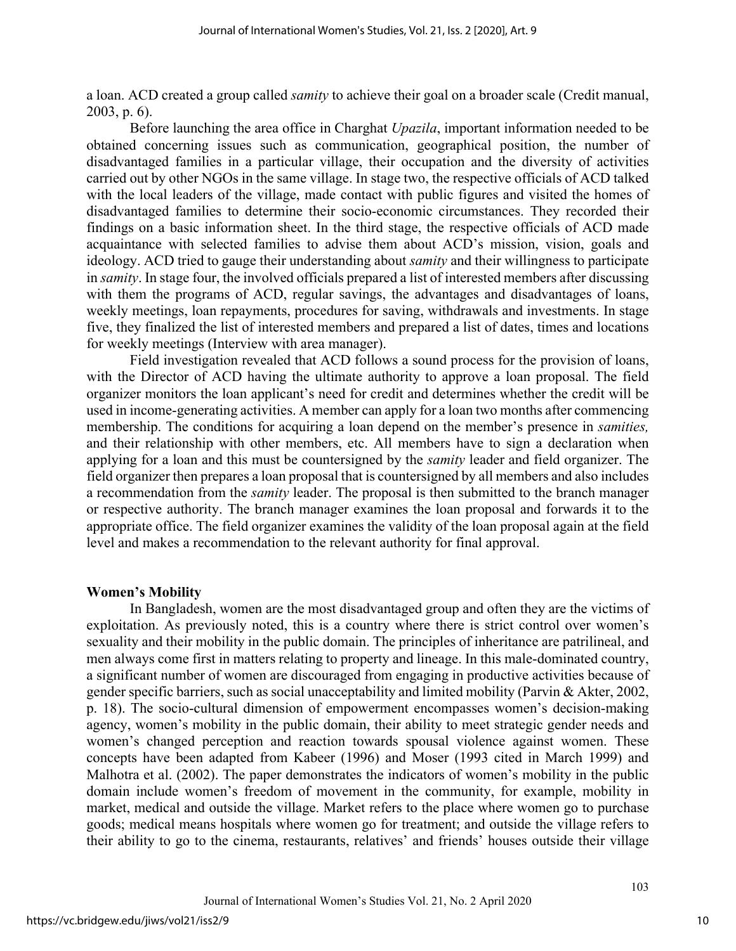a loan. ACD created a group called *samity* to achieve their goal on a broader scale (Credit manual, 2003, p. 6).

Before launching the area office in Charghat *Upazila*, important information needed to be obtained concerning issues such as communication, geographical position, the number of disadvantaged families in a particular village, their occupation and the diversity of activities carried out by other NGOs in the same village. In stage two, the respective officials of ACD talked with the local leaders of the village, made contact with public figures and visited the homes of disadvantaged families to determine their socio-economic circumstances. They recorded their findings on a basic information sheet. In the third stage, the respective officials of ACD made acquaintance with selected families to advise them about ACD's mission, vision, goals and ideology. ACD tried to gauge their understanding about *samity* and their willingness to participate in *samity*. In stage four, the involved officials prepared a list of interested members after discussing with them the programs of ACD, regular savings, the advantages and disadvantages of loans, weekly meetings, loan repayments, procedures for saving, withdrawals and investments. In stage five, they finalized the list of interested members and prepared a list of dates, times and locations for weekly meetings (Interview with area manager).

Field investigation revealed that ACD follows a sound process for the provision of loans, with the Director of ACD having the ultimate authority to approve a loan proposal. The field organizer monitors the loan applicant's need for credit and determines whether the credit will be used in income-generating activities. A member can apply for a loan two months after commencing membership. The conditions for acquiring a loan depend on the member's presence in *samities,*  and their relationship with other members, etc. All members have to sign a declaration when applying for a loan and this must be countersigned by the *samity* leader and field organizer. The field organizer then prepares a loan proposal that is countersigned by all members and also includes a recommendation from the *samity* leader. The proposal is then submitted to the branch manager or respective authority. The branch manager examines the loan proposal and forwards it to the appropriate office. The field organizer examines the validity of the loan proposal again at the field level and makes a recommendation to the relevant authority for final approval.

#### **Women's Mobility**

In Bangladesh, women are the most disadvantaged group and often they are the victims of exploitation. As previously noted, this is a country where there is strict control over women's sexuality and their mobility in the public domain. The principles of inheritance are patrilineal, and men always come first in matters relating to property and lineage. In this male-dominated country, a significant number of women are discouraged from engaging in productive activities because of gender specific barriers, such as social unacceptability and limited mobility (Parvin & Akter, 2002, p. 18). The socio-cultural dimension of empowerment encompasses women's decision-making agency, women's mobility in the public domain, their ability to meet strategic gender needs and women's changed perception and reaction towards spousal violence against women. These concepts have been adapted from Kabeer (1996) and Moser (1993 cited in March 1999) and Malhotra et al. (2002). The paper demonstrates the indicators of women's mobility in the public domain include women's freedom of movement in the community, for example, mobility in market, medical and outside the village. Market refers to the place where women go to purchase goods; medical means hospitals where women go for treatment; and outside the village refers to their ability to go to the cinema, restaurants, relatives' and friends' houses outside their village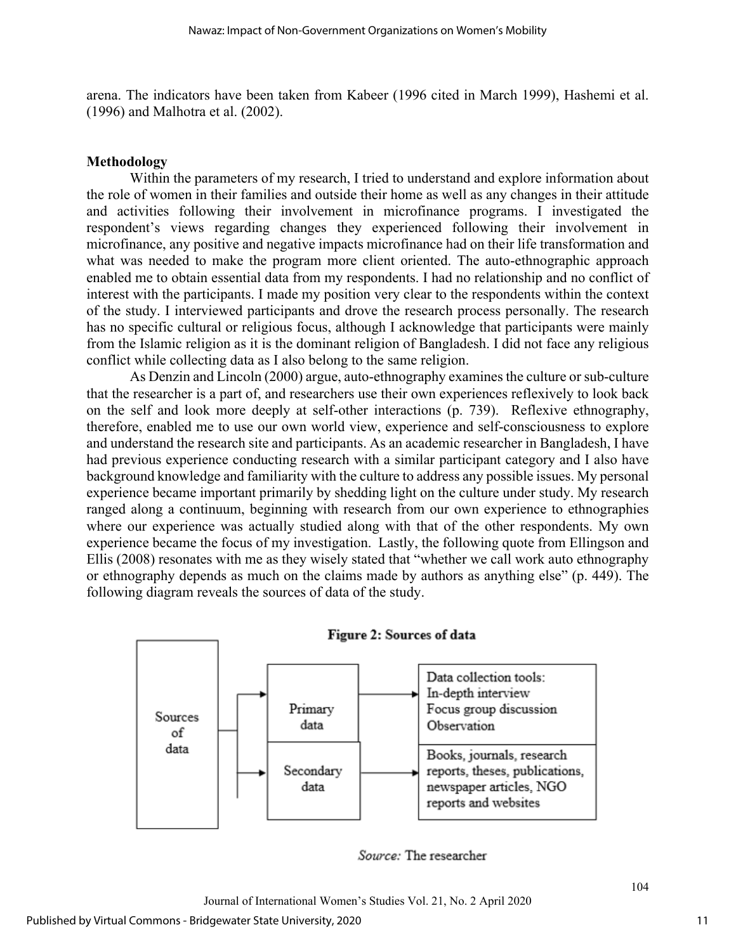arena. The indicators have been taken from Kabeer (1996 cited in March 1999), Hashemi et al. (1996) and Malhotra et al. (2002).

#### **Methodology**

Within the parameters of my research, I tried to understand and explore information about the role of women in their families and outside their home as well as any changes in their attitude and activities following their involvement in microfinance programs. I investigated the respondent's views regarding changes they experienced following their involvement in microfinance, any positive and negative impacts microfinance had on their life transformation and what was needed to make the program more client oriented. The auto-ethnographic approach enabled me to obtain essential data from my respondents. I had no relationship and no conflict of interest with the participants. I made my position very clear to the respondents within the context of the study. I interviewed participants and drove the research process personally. The research has no specific cultural or religious focus, although I acknowledge that participants were mainly from the Islamic religion as it is the dominant religion of Bangladesh. I did not face any religious conflict while collecting data as I also belong to the same religion.

As Denzin and Lincoln (2000) argue, auto-ethnography examines the culture or sub-culture that the researcher is a part of, and researchers use their own experiences reflexively to look back on the self and look more deeply at self-other interactions (p. 739). Reflexive ethnography, therefore, enabled me to use our own world view, experience and self-consciousness to explore and understand the research site and participants. As an academic researcher in Bangladesh, I have had previous experience conducting research with a similar participant category and I also have background knowledge and familiarity with the culture to address any possible issues. My personal experience became important primarily by shedding light on the culture under study. My research ranged along a continuum, beginning with research from our own experience to ethnographies where our experience was actually studied along with that of the other respondents. My own experience became the focus of my investigation. Lastly, the following quote from Ellingson and Ellis (2008) resonates with me as they wisely stated that "whether we call work auto ethnography or ethnography depends as much on the claims made by authors as anything else" (p. 449). The following diagram reveals the sources of data of the study.





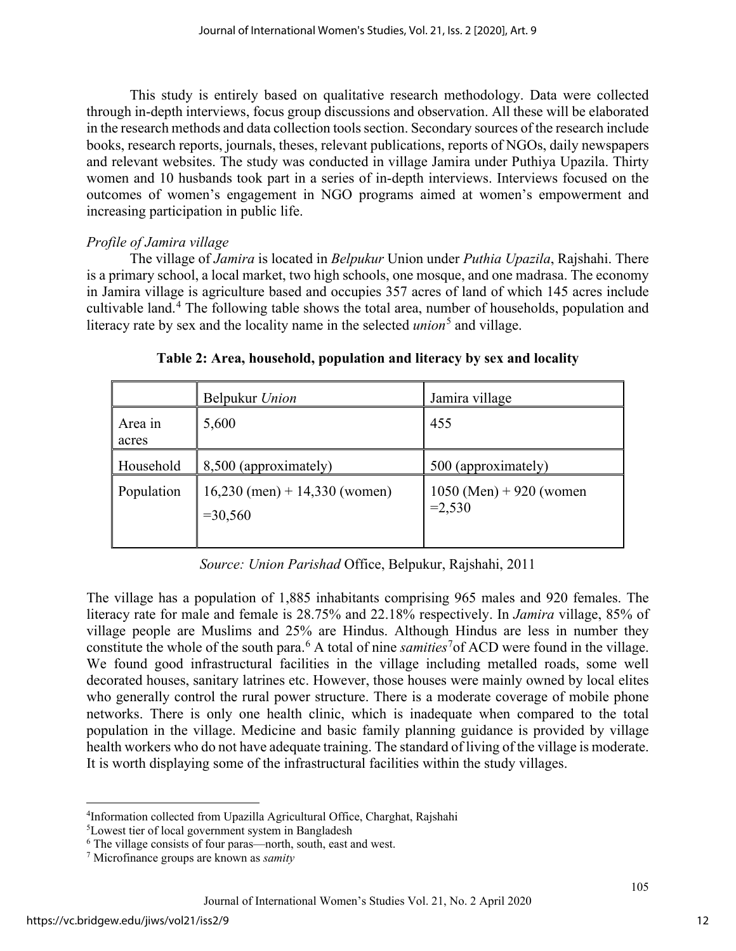This study is entirely based on qualitative research methodology. Data were collected through in-depth interviews, focus group discussions and observation. All these will be elaborated in the research methods and data collection tools section. Secondary sources of the research include books, research reports, journals, theses, relevant publications, reports of NGOs, daily newspapers and relevant websites. The study was conducted in village Jamira under Puthiya Upazila. Thirty women and 10 husbands took part in a series of in-depth interviews. Interviews focused on the outcomes of women's engagement in NGO programs aimed at women's empowerment and increasing participation in public life.

#### *Profile of Jamira village*

The village of *Jamira* is located in *Belpukur* Union under *Puthia Upazila*, Rajshahi. There is a primary school, a local market, two high schools, one mosque, and one madrasa. The economy in Jamira village is agriculture based and occupies 357 acres of land of which 145 acres include cultivable land.[4](#page-12-0) The following table shows the total area, number of households, population and literacy rate by sex and the locality name in the selected *union*<sup>[5](#page-12-1)</sup> and village.

|                  | Belpukur Union                                | Jamira village                       |
|------------------|-----------------------------------------------|--------------------------------------|
| Area in<br>acres | 5,600                                         | 455                                  |
| Household        | 8,500 (approximately)                         | 500 (approximately)                  |
| Population       | $16,230$ (men) + 14,330 (women)<br>$= 30,560$ | 1050 (Men) + 920 (women)<br>$=2,530$ |

**Table 2: Area, household, population and literacy by sex and locality** 

*Source: Union Parishad* Office, Belpukur, Rajshahi, 2011

The village has a population of 1,885 inhabitants comprising 965 males and 920 females. The literacy rate for male and female is 28.75% and 22.18% respectively. In *Jamira* village, 85% of village people are Muslims and 25% are Hindus. Although Hindus are less in number they constitute the whole of the south para.<sup>[6](#page-12-2)</sup> A total of nine *samities*<sup>[7](#page-12-3)</sup> of ACD were found in the village. We found good infrastructural facilities in the village including metalled roads, some well decorated houses, sanitary latrines etc. However, those houses were mainly owned by local elites who generally control the rural power structure. There is a moderate coverage of mobile phone networks. There is only one health clinic, which is inadequate when compared to the total population in the village. Medicine and basic family planning guidance is provided by village health workers who do not have adequate training. The standard of living of the village is moderate. It is worth displaying some of the infrastructural facilities within the study villages.

<span id="page-12-0"></span><sup>4</sup> Information collected from Upazilla Agricultural Office, Charghat, Rajshahi

<span id="page-12-1"></span><sup>5</sup> Lowest tier of local government system in Bangladesh

<span id="page-12-2"></span><sup>6</sup> The village consists of four paras—north, south, east and west.

<span id="page-12-3"></span><sup>7</sup> Microfinance groups are known as *samity*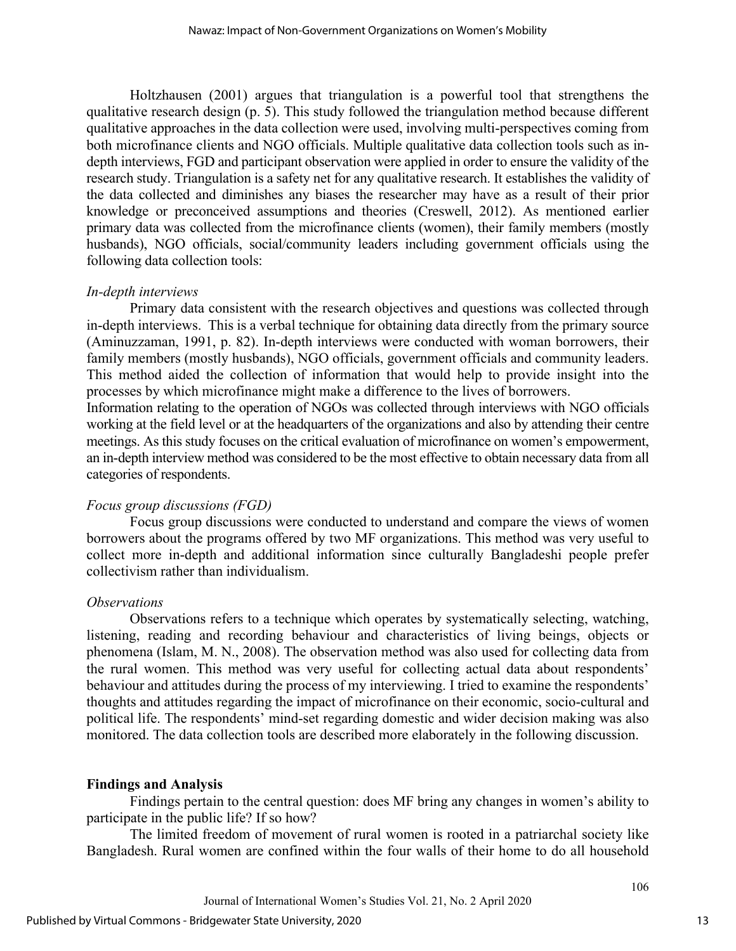Holtzhausen (2001) argues that triangulation is a powerful tool that strengthens the qualitative research design (p. 5). This study followed the triangulation method because different qualitative approaches in the data collection were used, involving multi-perspectives coming from both microfinance clients and NGO officials. Multiple qualitative data collection tools such as indepth interviews, FGD and participant observation were applied in order to ensure the validity of the research study. Triangulation is a safety net for any qualitative research. It establishes the validity of the data collected and diminishes any biases the researcher may have as a result of their prior knowledge or preconceived assumptions and theories (Creswell, 2012). As mentioned earlier primary data was collected from the microfinance clients (women), their family members (mostly husbands), NGO officials, social/community leaders including government officials using the following data collection tools:

#### *In-depth interviews*

Primary data consistent with the research objectives and questions was collected through in-depth interviews. This is a verbal technique for obtaining data directly from the primary source (Aminuzzaman, 1991, p. 82). In-depth interviews were conducted with woman borrowers, their family members (mostly husbands), NGO officials, government officials and community leaders. This method aided the collection of information that would help to provide insight into the processes by which microfinance might make a difference to the lives of borrowers.

Information relating to the operation of NGOs was collected through interviews with NGO officials working at the field level or at the headquarters of the organizations and also by attending their centre meetings. As this study focuses on the critical evaluation of microfinance on women's empowerment, an in-depth interview method was considered to be the most effective to obtain necessary data from all categories of respondents.

#### *Focus group discussions (FGD)*

Focus group discussions were conducted to understand and compare the views of women borrowers about the programs offered by two MF organizations. This method was very useful to collect more in-depth and additional information since culturally Bangladeshi people prefer collectivism rather than individualism.

#### *Observations*

Observations refers to a technique which operates by systematically selecting, watching, listening, reading and recording behaviour and characteristics of living beings, objects or phenomena (Islam, M. N., 2008). The observation method was also used for collecting data from the rural women. This method was very useful for collecting actual data about respondents' behaviour and attitudes during the process of my interviewing. I tried to examine the respondents' thoughts and attitudes regarding the impact of microfinance on their economic, socio-cultural and political life. The respondents' mind-set regarding domestic and wider decision making was also monitored. The data collection tools are described more elaborately in the following discussion.

#### **Findings and Analysis**

Findings pertain to the central question: does MF bring any changes in women's ability to participate in the public life? If so how?

The limited freedom of movement of rural women is rooted in a patriarchal society like Bangladesh. Rural women are confined within the four walls of their home to do all household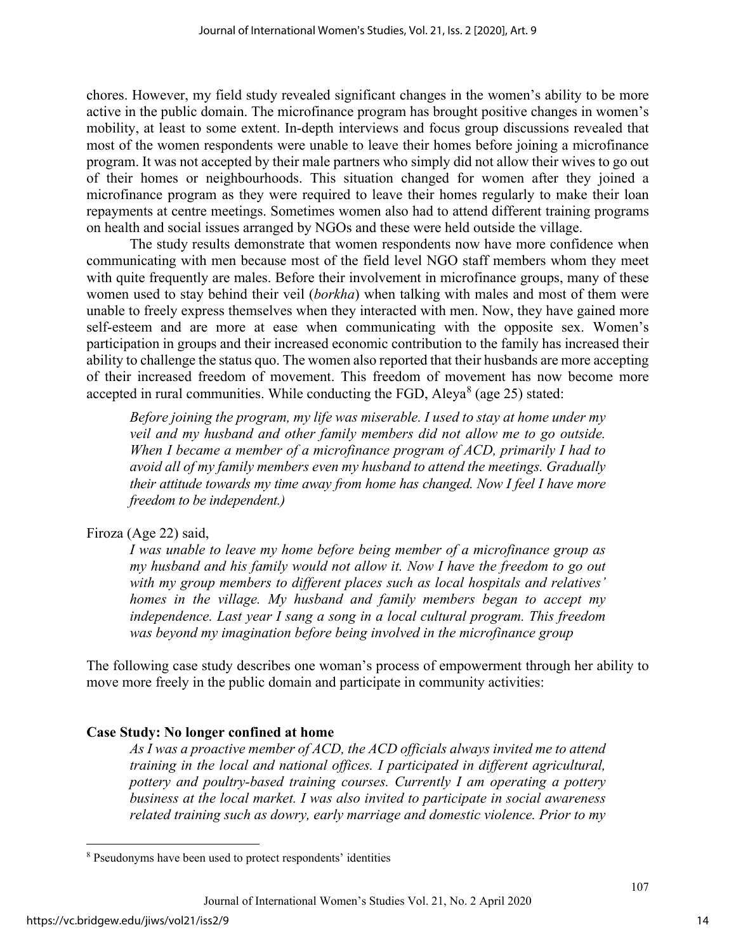chores. However, my field study revealed significant changes in the women's ability to be more active in the public domain. The microfinance program has brought positive changes in women's mobility, at least to some extent. In-depth interviews and focus group discussions revealed that most of the women respondents were unable to leave their homes before joining a microfinance program. It was not accepted by their male partners who simply did not allow their wives to go out of their homes or neighbourhoods. This situation changed for women after they joined a microfinance program as they were required to leave their homes regularly to make their loan repayments at centre meetings. Sometimes women also had to attend different training programs on health and social issues arranged by NGOs and these were held outside the village.

The study results demonstrate that women respondents now have more confidence when communicating with men because most of the field level NGO staff members whom they meet with quite frequently are males. Before their involvement in microfinance groups, many of these women used to stay behind their veil (*borkha*) when talking with males and most of them were unable to freely express themselves when they interacted with men. Now, they have gained more self-esteem and are more at ease when communicating with the opposite sex. Women's participation in groups and their increased economic contribution to the family has increased their ability to challenge the status quo. The women also reported that their husbands are more accepting of their increased freedom of movement. This freedom of movement has now become more accepted in rural communities. While conducting the FGD, Aleya $^8$  $^8$  (age 25) stated:

*Before joining the program, my life was miserable. I used to stay at home under my veil and my husband and other family members did not allow me to go outside. When I became a member of a microfinance program of ACD, primarily I had to avoid all of my family members even my husband to attend the meetings. Gradually their attitude towards my time away from home has changed. Now I feel I have more freedom to be independent.)* 

#### Firoza (Age 22) said,

*I was unable to leave my home before being member of a microfinance group as my husband and his family would not allow it. Now I have the freedom to go out with my group members to different places such as local hospitals and relatives' homes in the village. My husband and family members began to accept my independence. Last year I sang a song in a local cultural program. This freedom was beyond my imagination before being involved in the microfinance group* 

The following case study describes one woman's process of empowerment through her ability to move more freely in the public domain and participate in community activities:

### **Case Study: No longer confined at home**

*As I was a proactive member of ACD, the ACD officials always invited me to attend training in the local and national offices. I participated in different agricultural, pottery and poultry-based training courses. Currently I am operating a pottery business at the local market. I was also invited to participate in social awareness related training such as dowry, early marriage and domestic violence. Prior to my* 

<span id="page-14-0"></span><sup>8</sup> Pseudonyms have been used to protect respondents' identities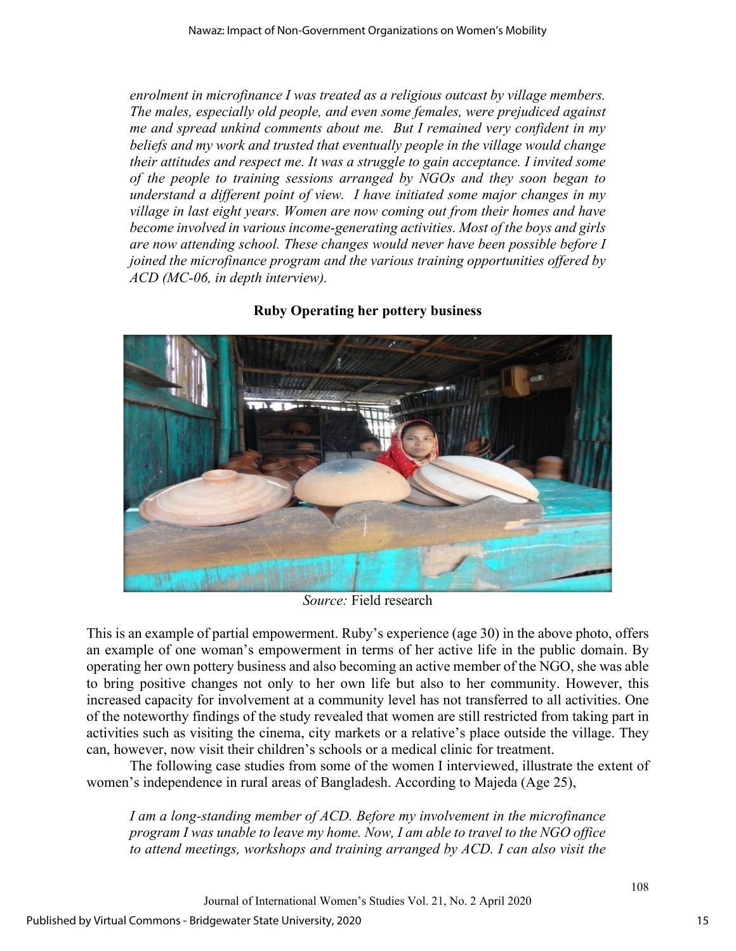*enrolment in microfinance I was treated as a religious outcast by village members. The males, especially old people, and even some females, were prejudiced against me and spread unkind comments about me. But I remained very confident in my beliefs and my work and trusted that eventually people in the village would change their attitudes and respect me. It was a struggle to gain acceptance. I invited some of the people to training sessions arranged by NGOs and they soon began to understand a different point of view. I have initiated some major changes in my village in last eight years. Women are now coming out from their homes and have become involved in various income-generating activities. Most of the boys and girls are now attending school. These changes would never have been possible before I joined the microfinance program and the various training opportunities offered by ACD (MC-06, in depth interview).*



### **Ruby Operating her pottery business**

*Source:* Field research

This is an example of partial empowerment. Ruby's experience (age 30) in the above photo, offers an example of one woman's empowerment in terms of her active life in the public domain. By operating her own pottery business and also becoming an active member of the NGO, she was able to bring positive changes not only to her own life but also to her community. However, this increased capacity for involvement at a community level has not transferred to all activities. One of the noteworthy findings of the study revealed that women are still restricted from taking part in activities such as visiting the cinema, city markets or a relative's place outside the village. They can, however, now visit their children's schools or a medical clinic for treatment.

The following case studies from some of the women I interviewed, illustrate the extent of women's independence in rural areas of Bangladesh. According to Majeda (Age 25),

*I am a long-standing member of ACD. Before my involvement in the microfinance program I was unable to leave my home. Now, I am able to travel to the NGO office to attend meetings, workshops and training arranged by ACD. I can also visit the* 

Journal of International Women's Studies Vol. 21, No. 2 April 2020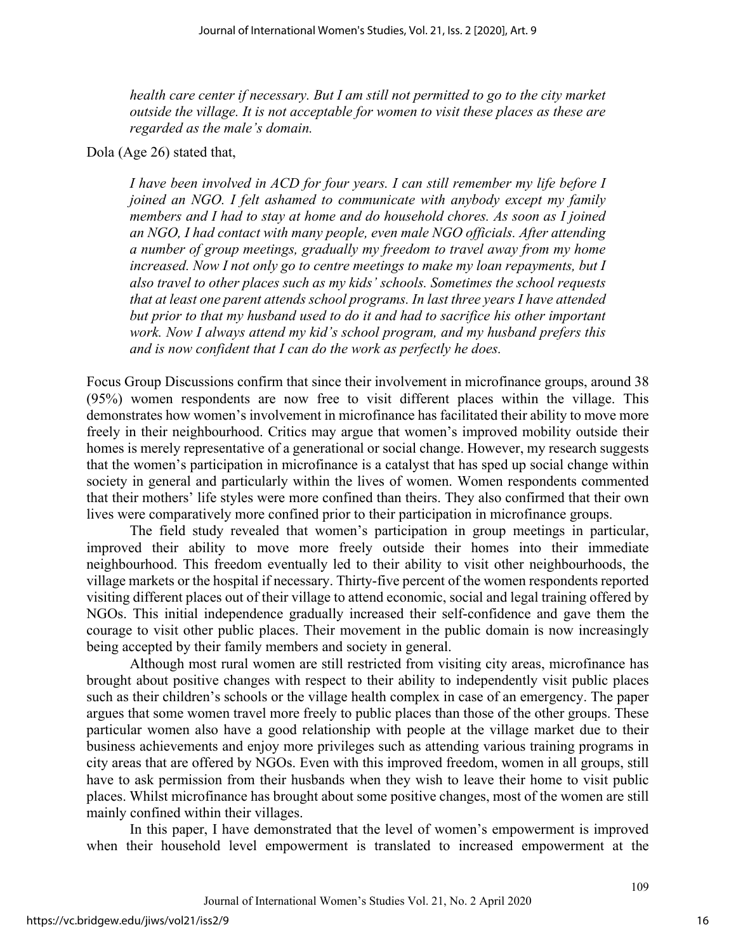*health care center if necessary. But I am still not permitted to go to the city market outside the village. It is not acceptable for women to visit these places as these are regarded as the male's domain.* 

Dola (Age 26) stated that,

*I have been involved in ACD for four years. I can still remember my life before I joined an NGO. I felt ashamed to communicate with anybody except my family members and I had to stay at home and do household chores. As soon as I joined an NGO, I had contact with many people, even male NGO officials. After attending a number of group meetings, gradually my freedom to travel away from my home increased. Now I not only go to centre meetings to make my loan repayments, but I also travel to other places such as my kids' schools. Sometimes the school requests that at least one parent attends school programs. In last three years I have attended but prior to that my husband used to do it and had to sacrifice his other important work. Now I always attend my kid's school program, and my husband prefers this and is now confident that I can do the work as perfectly he does.* 

Focus Group Discussions confirm that since their involvement in microfinance groups, around 38 (95%) women respondents are now free to visit different places within the village. This demonstrates how women's involvement in microfinance has facilitated their ability to move more freely in their neighbourhood. Critics may argue that women's improved mobility outside their homes is merely representative of a generational or social change. However, my research suggests that the women's participation in microfinance is a catalyst that has sped up social change within society in general and particularly within the lives of women. Women respondents commented that their mothers' life styles were more confined than theirs. They also confirmed that their own lives were comparatively more confined prior to their participation in microfinance groups.

The field study revealed that women's participation in group meetings in particular, improved their ability to move more freely outside their homes into their immediate neighbourhood. This freedom eventually led to their ability to visit other neighbourhoods, the village markets or the hospital if necessary. Thirty-five percent of the women respondents reported visiting different places out of their village to attend economic, social and legal training offered by NGOs. This initial independence gradually increased their self-confidence and gave them the courage to visit other public places. Their movement in the public domain is now increasingly being accepted by their family members and society in general.

Although most rural women are still restricted from visiting city areas, microfinance has brought about positive changes with respect to their ability to independently visit public places such as their children's schools or the village health complex in case of an emergency. The paper argues that some women travel more freely to public places than those of the other groups. These particular women also have a good relationship with people at the village market due to their business achievements and enjoy more privileges such as attending various training programs in city areas that are offered by NGOs. Even with this improved freedom, women in all groups, still have to ask permission from their husbands when they wish to leave their home to visit public places. Whilst microfinance has brought about some positive changes, most of the women are still mainly confined within their villages.

In this paper, I have demonstrated that the level of women's empowerment is improved when their household level empowerment is translated to increased empowerment at the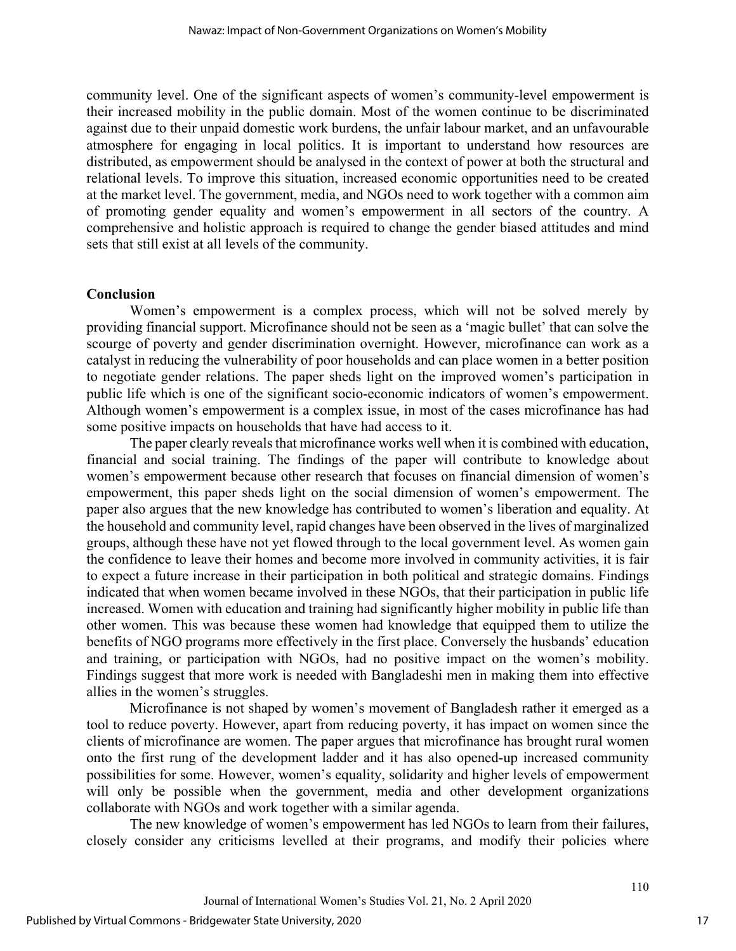community level. One of the significant aspects of women's community-level empowerment is their increased mobility in the public domain. Most of the women continue to be discriminated against due to their unpaid domestic work burdens, the unfair labour market, and an unfavourable atmosphere for engaging in local politics. It is important to understand how resources are distributed, as empowerment should be analysed in the context of power at both the structural and relational levels. To improve this situation, increased economic opportunities need to be created at the market level. The government, media, and NGOs need to work together with a common aim of promoting gender equality and women's empowerment in all sectors of the country. A comprehensive and holistic approach is required to change the gender biased attitudes and mind sets that still exist at all levels of the community.

#### **Conclusion**

Women's empowerment is a complex process, which will not be solved merely by providing financial support. Microfinance should not be seen as a 'magic bullet' that can solve the scourge of poverty and gender discrimination overnight. However, microfinance can work as a catalyst in reducing the vulnerability of poor households and can place women in a better position to negotiate gender relations. The paper sheds light on the improved women's participation in public life which is one of the significant socio-economic indicators of women's empowerment. Although women's empowerment is a complex issue, in most of the cases microfinance has had some positive impacts on households that have had access to it.

The paper clearly reveals that microfinance works well when it is combined with education, financial and social training. The findings of the paper will contribute to knowledge about women's empowerment because other research that focuses on financial dimension of women's empowerment, this paper sheds light on the social dimension of women's empowerment. The paper also argues that the new knowledge has contributed to women's liberation and equality. At the household and community level, rapid changes have been observed in the lives of marginalized groups, although these have not yet flowed through to the local government level. As women gain the confidence to leave their homes and become more involved in community activities, it is fair to expect a future increase in their participation in both political and strategic domains. Findings indicated that when women became involved in these NGOs, that their participation in public life increased. Women with education and training had significantly higher mobility in public life than other women. This was because these women had knowledge that equipped them to utilize the benefits of NGO programs more effectively in the first place. Conversely the husbands' education and training, or participation with NGOs, had no positive impact on the women's mobility. Findings suggest that more work is needed with Bangladeshi men in making them into effective allies in the women's struggles.

Microfinance is not shaped by women's movement of Bangladesh rather it emerged as a tool to reduce poverty. However, apart from reducing poverty, it has impact on women since the clients of microfinance are women. The paper argues that microfinance has brought rural women onto the first rung of the development ladder and it has also opened-up increased community possibilities for some. However, women's equality, solidarity and higher levels of empowerment will only be possible when the government, media and other development organizations collaborate with NGOs and work together with a similar agenda.

The new knowledge of women's empowerment has led NGOs to learn from their failures, closely consider any criticisms levelled at their programs, and modify their policies where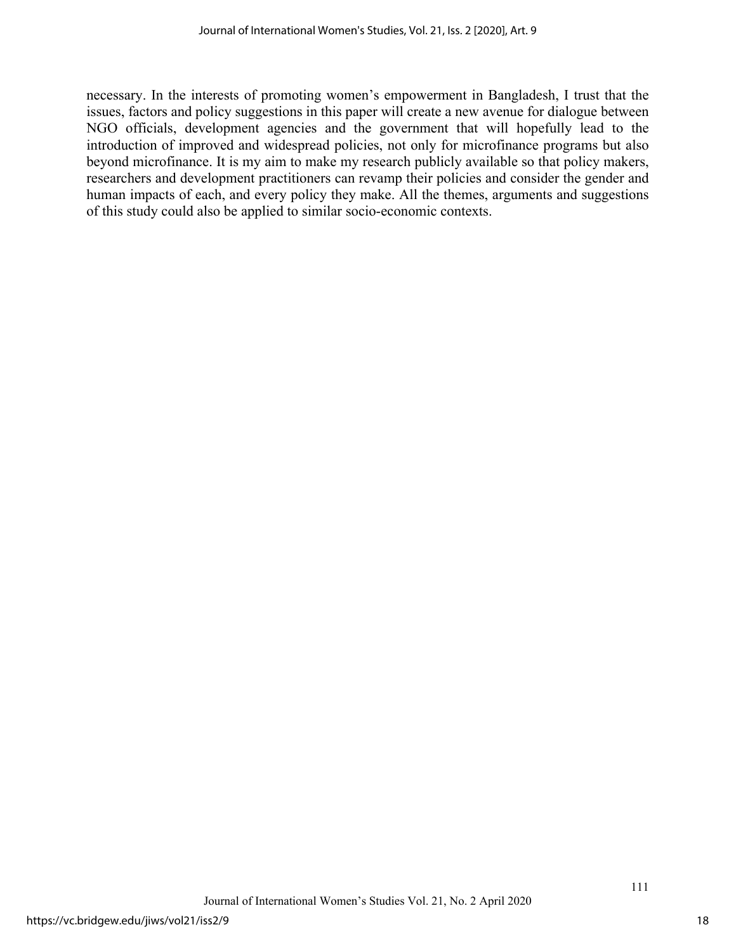necessary. In the interests of promoting women's empowerment in Bangladesh, I trust that the issues, factors and policy suggestions in this paper will create a new avenue for dialogue between NGO officials, development agencies and the government that will hopefully lead to the introduction of improved and widespread policies, not only for microfinance programs but also beyond microfinance. It is my aim to make my research publicly available so that policy makers, researchers and development practitioners can revamp their policies and consider the gender and human impacts of each, and every policy they make. All the themes, arguments and suggestions of this study could also be applied to similar socio-economic contexts.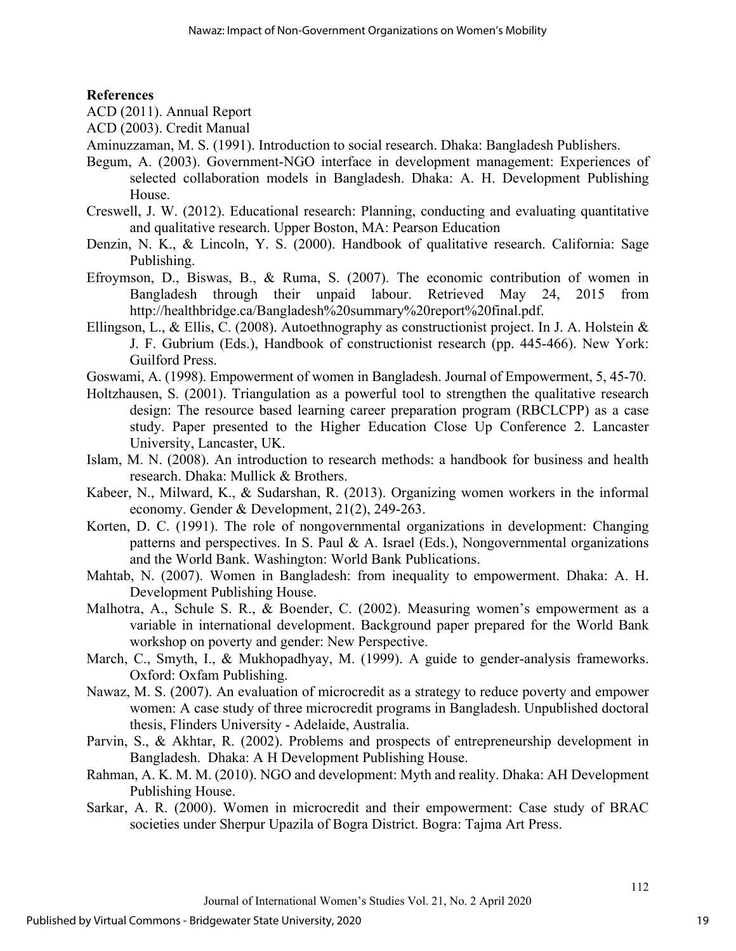#### **References**

- ACD (2011). Annual Report
- ACD (2003). Credit Manual
- Aminuzzaman, M. S. (1991). Introduction to social research. Dhaka: Bangladesh Publishers.
- Begum, A. (2003). Government-NGO interface in development management: Experiences of selected collaboration models in Bangladesh. Dhaka: A. H. Development Publishing House.
- Creswell, J. W. (2012). Educational research: Planning, conducting and evaluating quantitative and qualitative research. Upper Boston, MA: Pearson Education
- Denzin, N. K., & Lincoln, Y. S. (2000). Handbook of qualitative research. California: Sage Publishing.
- Efroymson, D., Biswas, B., & Ruma, S. (2007). The economic contribution of women in Bangladesh through their unpaid labour. Retrieved May 24, 2015 from http://healthbridge.ca/Bangladesh%20summary%20report%20final.pdf.
- Ellingson, L., & Ellis, C. (2008). Autoethnography as constructionist project. In J. A. Holstein & J. F. Gubrium (Eds.), Handbook of constructionist research (pp. 445-466). New York: Guilford Press.
- Goswami, A. (1998). Empowerment of women in Bangladesh. Journal of Empowerment, 5, 45-70.
- Holtzhausen, S. (2001). Triangulation as a powerful tool to strengthen the qualitative research design: The resource based learning career preparation program (RBCLCPP) as a case study. Paper presented to the Higher Education Close Up Conference 2. Lancaster University, Lancaster, UK.
- Islam, M. N. (2008). An introduction to research methods: a handbook for business and health research. Dhaka: Mullick & Brothers.
- Kabeer, N., Milward, K., & Sudarshan, R. (2013). Organizing women workers in the informal economy. Gender & Development, 21(2), 249-263.
- Korten, D. C. (1991). The role of nongovernmental organizations in development: Changing patterns and perspectives. In S. Paul & A. Israel (Eds.), Nongovernmental organizations and the World Bank. Washington: World Bank Publications.
- Mahtab, N. (2007). Women in Bangladesh: from inequality to empowerment. Dhaka: A. H. Development Publishing House.
- Malhotra, A., Schule S. R., & Boender, C. (2002). Measuring women's empowerment as a variable in international development. Background paper prepared for the World Bank workshop on poverty and gender: New Perspective.
- March, C., Smyth, I., & Mukhopadhyay, M. (1999). A guide to gender-analysis frameworks. Oxford: Oxfam Publishing.
- Nawaz, M. S. (2007). An evaluation of microcredit as a strategy to reduce poverty and empower women: A case study of three microcredit programs in Bangladesh. Unpublished doctoral thesis, Flinders University - Adelaide, Australia.
- Parvin, S., & Akhtar, R. (2002). Problems and prospects of entrepreneurship development in Bangladesh. Dhaka: A H Development Publishing House.
- Rahman, A. K. M. M. (2010). NGO and development: Myth and reality. Dhaka: AH Development Publishing House.
- Sarkar, A. R. (2000). Women in microcredit and their empowerment: Case study of BRAC societies under Sherpur Upazila of Bogra District. Bogra: Tajma Art Press.